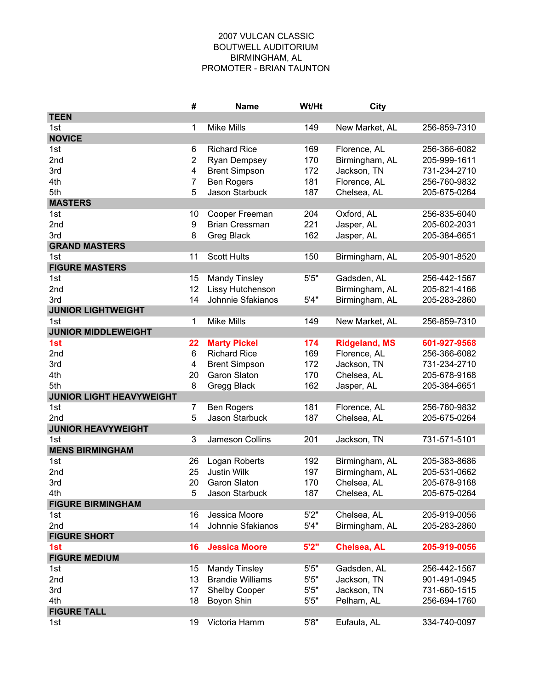## 2007 VULCAN CLASSIC BOUTWELL AUDITORIUM BIRMINGHAM, AL PROMOTER - BRIAN TAUNTON

|                                 | #              | <b>Name</b>             | Wt/Ht | <b>City</b>          |              |
|---------------------------------|----------------|-------------------------|-------|----------------------|--------------|
| <b>TEEN</b>                     |                |                         |       |                      |              |
| 1st                             | 1              | <b>Mike Mills</b>       | 149   | New Market, AL       | 256-859-7310 |
| <b>NOVICE</b>                   |                |                         |       |                      |              |
| 1st                             | 6              | <b>Richard Rice</b>     | 169   | Florence, AL         | 256-366-6082 |
| 2nd                             | $\overline{c}$ | <b>Ryan Dempsey</b>     | 170   | Birmingham, AL       | 205-999-1611 |
| 3rd                             | 4              | <b>Brent Simpson</b>    | 172   | Jackson, TN          | 731-234-2710 |
| 4th                             | 7              | <b>Ben Rogers</b>       | 181   | Florence, AL         | 256-760-9832 |
| 5th                             | 5              | Jason Starbuck          | 187   | Chelsea, AL          | 205-675-0264 |
| <b>MASTERS</b>                  |                |                         |       |                      |              |
| 1st                             | 10             | Cooper Freeman          | 204   | Oxford, AL           | 256-835-6040 |
| 2nd                             | 9              | <b>Brian Cressman</b>   | 221   | Jasper, AL           | 205-602-2031 |
| 3rd                             | 8              | Greg Black              | 162   | Jasper, AL           | 205-384-6651 |
| <b>GRAND MASTERS</b>            |                |                         |       |                      |              |
| 1st                             | 11             | <b>Scott Hults</b>      | 150   | Birmingham, AL       | 205-901-8520 |
| <b>FIGURE MASTERS</b>           |                |                         |       |                      |              |
| 1st                             | 15             | <b>Mandy Tinsley</b>    | 5'5"  | Gadsden, AL          | 256-442-1567 |
| 2nd                             | 12             | Lissy Hutchenson        |       | Birmingham, AL       | 205-821-4166 |
| 3rd                             | 14             | Johnnie Sfakianos       | 5'4"  | Birmingham, AL       | 205-283-2860 |
| <b>JUNIOR LIGHTWEIGHT</b>       |                |                         |       |                      |              |
| 1st                             | 1              | <b>Mike Mills</b>       | 149   | New Market, AL       | 256-859-7310 |
| <b>JUNIOR MIDDLEWEIGHT</b>      |                |                         |       |                      |              |
| 1st                             | 22             | <b>Marty Pickel</b>     | 174   | <b>Ridgeland, MS</b> | 601-927-9568 |
| 2nd                             | 6              | <b>Richard Rice</b>     | 169   | Florence, AL         | 256-366-6082 |
| 3rd                             | 4              | <b>Brent Simpson</b>    | 172   | Jackson, TN          | 731-234-2710 |
| 4th                             | 20             | <b>Garon Slaton</b>     | 170   | Chelsea, AL          | 205-678-9168 |
| 5th                             | 8              | Gregg Black             | 162   | Jasper, AL           | 205-384-6651 |
| <b>JUNIOR LIGHT HEAVYWEIGHT</b> |                |                         |       |                      |              |
| 1st                             | 7              | <b>Ben Rogers</b>       | 181   | Florence, AL         | 256-760-9832 |
| 2nd                             | 5              | Jason Starbuck          | 187   | Chelsea, AL          | 205-675-0264 |
| <b>JUNIOR HEAVYWEIGHT</b>       |                |                         |       |                      |              |
| 1st                             | 3              | Jameson Collins         | 201   | Jackson, TN          | 731-571-5101 |
| <b>MENS BIRMINGHAM</b>          |                |                         |       |                      |              |
| 1st                             | 26             | Logan Roberts           | 192   | Birmingham, AL       | 205-383-8686 |
| 2nd                             | 25             | Justin Wilk             | 197   | Birmingham, AL       | 205-531-0662 |
| 3rd                             | 20             | <b>Garon Slaton</b>     | 170   | Chelsea, AL          | 205-678-9168 |
| 4th                             | 5              | Jason Starbuck          | 187   | Chelsea, AL          | 205-675-0264 |
| <b>FIGURE BIRMINGHAM</b>        |                |                         |       |                      |              |
| 1st                             | 16             | Jessica Moore           | 5'2"  | Chelsea, AL          | 205-919-0056 |
| 2nd                             | 14             | Johnnie Sfakianos       | 5'4"  | Birmingham, AL       | 205-283-2860 |
| <b>FIGURE SHORT</b>             |                |                         |       |                      |              |
| 1st                             | 16             | <b>Jessica Moore</b>    | 5'2"  | Chelsea, AL          | 205-919-0056 |
| <b>FIGURE MEDIUM</b>            |                |                         |       |                      |              |
| 1st                             | 15             | <b>Mandy Tinsley</b>    | 5'5"  | Gadsden, AL          | 256-442-1567 |
| 2nd                             | 13             | <b>Brandie Williams</b> | 5'5"  | Jackson, TN          | 901-491-0945 |
| 3rd                             | 17             | Shelby Cooper           | 5'5"  | Jackson, TN          | 731-660-1515 |
| 4th                             | 18             | Boyon Shin              | 5'5"  | Pelham, AL           | 256-694-1760 |
| <b>FIGURE TALL</b>              |                |                         |       |                      |              |
| 1st                             | 19             | Victoria Hamm           | 5'8"  | Eufaula, AL          | 334-740-0097 |